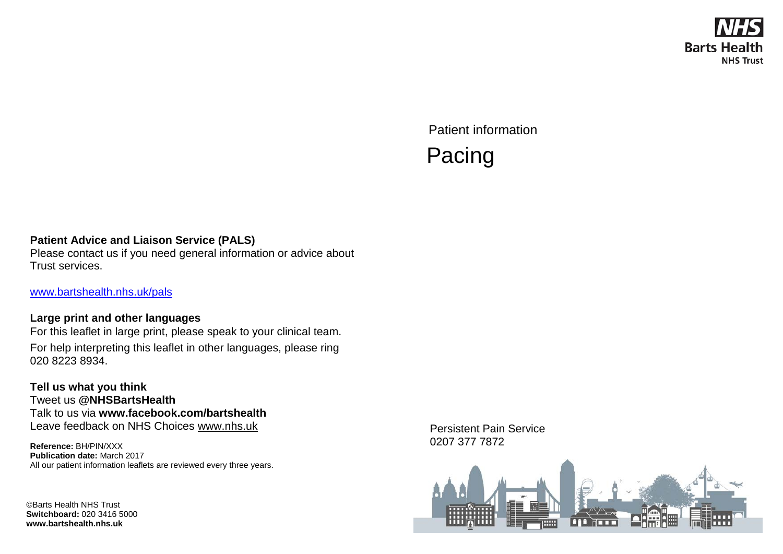

Patient information Pacing

#### **Patient Advice and Liaison Service (PALS)**

Please contact us if you need general information or advice about Trust services.

[www.bartshealth.nhs.uk/pals](http://www.bartshealth.nhs.uk/pals)

#### **Large print and other languages**

For this leaflet in large print, please speak to your clinical team. For help interpreting this leaflet in other languages, please ring 020 8223 8934.

**Tell us what you think** Tweet us **@NHSBartsHealth** Talk to us via **www.facebook.com/bartshealth** Leave feedback on NHS Choices [www.nhs.uk](http://www.nhs.uk/)

**Reference:** BH/PIN/XXX **Publication date:** March 2017 All our patient information leaflets are reviewed every three years.

©Barts Health NHS Trust **Switchboard:** 020 3416 5000 **www.bartshealth.nhs.uk**

Persistent Pain Service 0207 377 7872

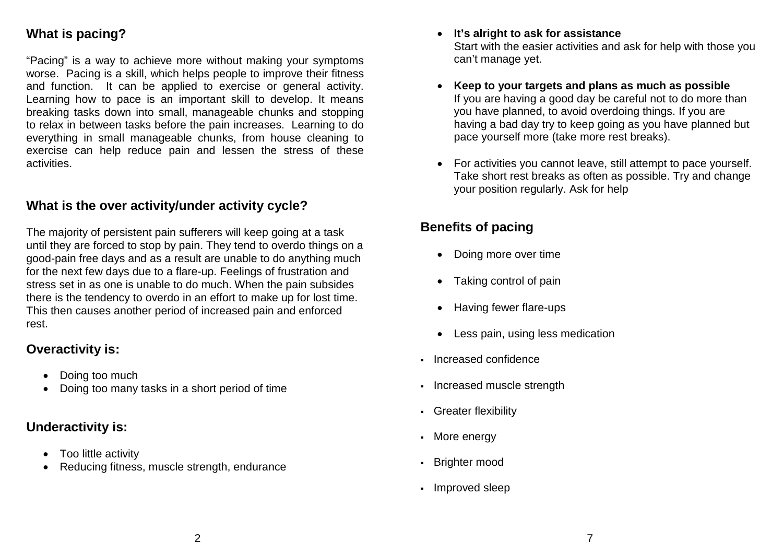# **What is pacing?**

"Pacing" is a way to achieve more without making your symptoms worse. Pacing is a skill, which helps people to improve their fitness and function. It can be applied to exercise or general activity. Learning how to pace is an important skill to develop. It means breaking tasks down into small, manageable chunks and stopping to relax in between tasks before the pain increases. Learning to do everything in small manageable chunks, from house cleaning to exercise can help reduce pain and lessen the stress of these activities.

## **What is the over activity/under activity cycle?**

The majority of persistent pain sufferers will keep going at a task until they are forced to stop by pain. They tend to overdo things on a good-pain free days and as a result are unable to do anything much for the next few days due to a flare-up. Feelings of frustration and stress set in as one is unable to do much. When the pain subsides there is the tendency to overdo in an effort to make up for lost time. This then causes another period of increased pain and enforced rest.

## **Overactivity is:**

- Doing too much
- Doing too many tasks in a short period of time

# **Underactivity is:**

- Too little activity
- Reducing fitness, muscle strength, endurance
- **It's alright to ask for assistance** Start with the easier activities and ask for help with those you can't manage yet.
- **Keep to your targets and plans as much as possible** If you are having a good day be careful not to do more than you have planned, to avoid overdoing things. If you are having a bad day try to keep going as you have planned but pace yourself more (take more rest breaks).
- For activities you cannot leave, still attempt to pace yourself. Take short rest breaks as often as possible. Try and change your position regularly. Ask for help

# **Benefits of pacing**

- Doing more over time
- Taking control of pain
- Having fewer flare-ups
- Less pain, using less medication
- Increased confidence
- Increased muscle strength
- Greater flexibility
- More energy
- Brighter mood
- Improved sleep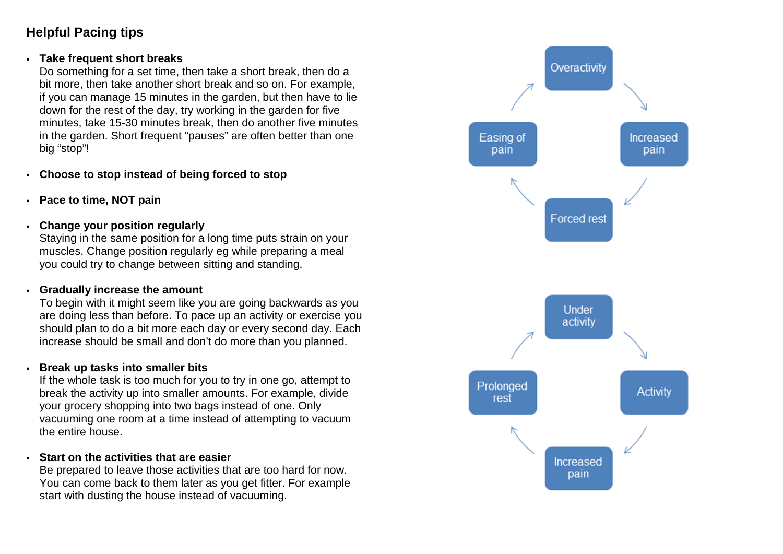# **Helpful Pacing tips**

#### **Take frequent short breaks**

Do something for a set time, then take a short break, then do a bit more, then take another short break and so on. For example, if you can manage 15 minutes in the garden, but then have to lie down for the rest of the day, try working in the garden for five minutes, take 15-30 minutes break, then do another five minutes in the garden. Short frequent "pauses" are often better than one big "stop"!

- **Choose to stop instead of being forced to stop**
- **Pace to time, NOT pain**
- **Change your position regularly**

Staying in the same position for a long time puts strain on your muscles. Change position regularly eg while preparing a meal you could try to change between sitting and standing.

#### **Gradually increase the amount**

To begin with it might seem like you are going backwards as you are doing less than before. To pace up an activity or exercise you should plan to do a bit more each day or every second day. Each increase should be small and don't do more than you planned.

#### **Break up tasks into smaller bits**

If the whole task is too much for you to try in one go, attempt to break the activity up into smaller amounts. For example, divide your grocery shopping into two bags instead of one. Only vacuuming one room at a time instead of attempting to vacuum the entire house.

### **Start on the activities that are easier**

Be prepared to leave those activities that are too hard for now. You can come back to them later as you get fitter. For example start with dusting the house instead of vacuuming.